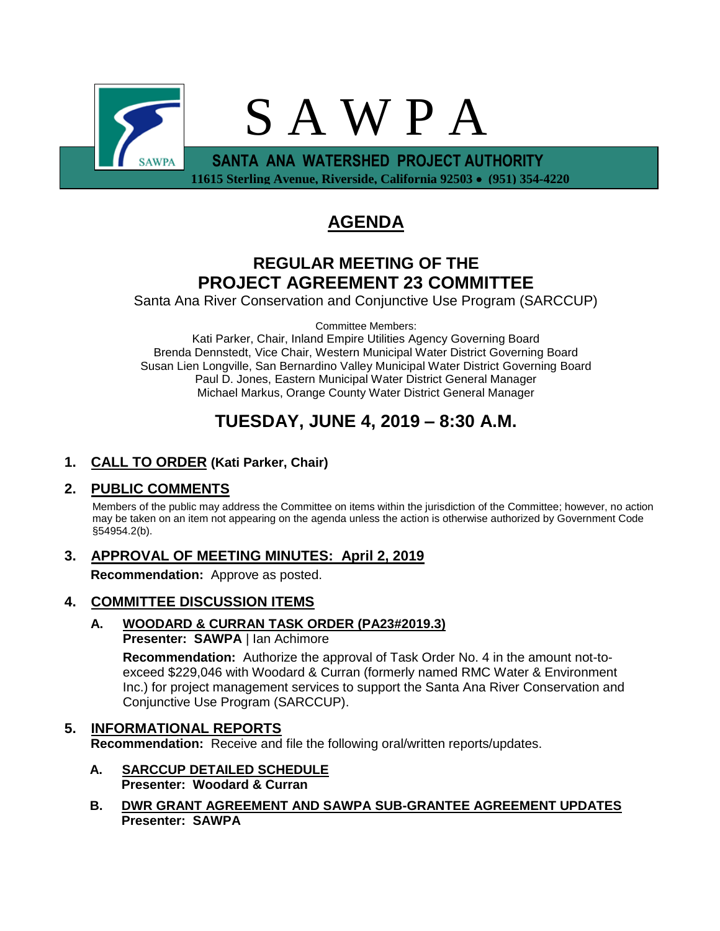

# **AGENDA**

## **REGULAR MEETING OF THE PROJECT AGREEMENT 23 COMMITTEE**

Santa Ana River Conservation and Conjunctive Use Program (SARCCUP)

Committee Members:

Kati Parker, Chair, Inland Empire Utilities Agency Governing Board Brenda Dennstedt, Vice Chair, Western Municipal Water District Governing Board Susan Lien Longville, San Bernardino Valley Municipal Water District Governing Board Paul D. Jones, Eastern Municipal Water District General Manager Michael Markus, Orange County Water District General Manager

# **TUESDAY, JUNE 4, 2019 – 8:30 A.M.**

### **1. CALL TO ORDER (Kati Parker, Chair)**

#### **2. PUBLIC COMMENTS**

Members of the public may address the Committee on items within the jurisdiction of the Committee; however, no action may be taken on an item not appearing on the agenda unless the action is otherwise authorized by Government Code §54954.2(b).

## **3. APPROVAL OF MEETING MINUTES: April 2, 2019**

**Recommendation:** Approve as posted.

#### **4. COMMITTEE DISCUSSION ITEMS**

#### **A. WOODARD & CURRAN TASK ORDER (PA23#2019.3) Presenter: SAWPA** | Ian Achimore

**Recommendation:** Authorize the approval of Task Order No. 4 in the amount not-toexceed \$229,046 with Woodard & Curran (formerly named RMC Water & Environment Inc.) for project management services to support the Santa Ana River Conservation and Conjunctive Use Program (SARCCUP).

#### **5. INFORMATIONAL REPORTS**

**Recommendation:** Receive and file the following oral/written reports/updates.

- **A. SARCCUP DETAILED SCHEDULE Presenter: Woodard & Curran**
- **B. DWR GRANT AGREEMENT AND SAWPA SUB-GRANTEE AGREEMENT UPDATES Presenter: SAWPA**